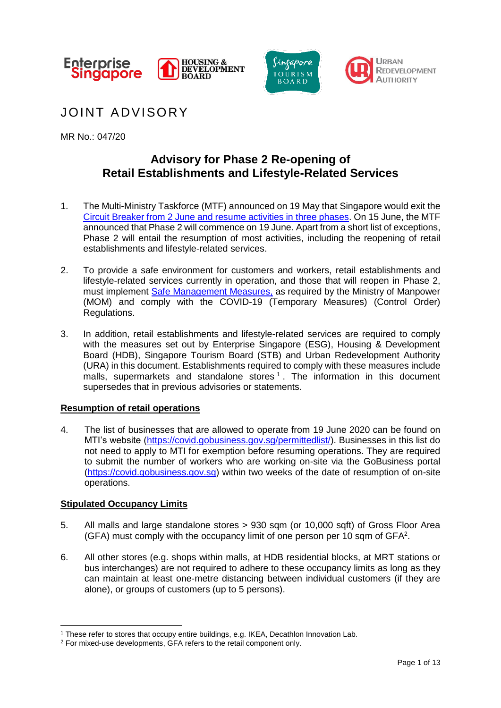





JOINT ADVISORY

MR No.: 047/20

## **Advisory for Phase 2 Re-opening of Retail Establishments and Lifestyle-Related Services**

- 1. The Multi-Ministry Taskforce (MTF) announced on 19 May that Singapore would exit the [Circuit Breaker from 2 June](https://www.mti.gov.sg/-/media/MTI/Newsroom/Press-Releases/2020/05/MTI-Advisory-on-resumption-of-activities-from-2-June-2020.pdf) and resume activities in three phases. On 15 June, the MTF announced that Phase 2 will commence on 19 June. Apart from a short list of exceptions, Phase 2 will entail the resumption of most activities, including the reopening of retail establishments and lifestyle-related services.
- 2. To provide a safe environment for customers and workers, retail establishments and lifestyle-related services currently in operation, and those that will reopen in Phase 2, must implement [Safe Management Measures,](https://www.mom.gov.sg/covid-19/requirements-for-safe-management-measures) as required by the Ministry of Manpower (MOM) and comply with the COVID-19 (Temporary Measures) (Control Order) Regulations.
- 3. In addition, retail establishments and lifestyle-related services are required to comply with the measures set out by Enterprise Singapore (ESG), Housing & Development Board (HDB), Singapore Tourism Board (STB) and Urban Redevelopment Authority (URA) in this document. Establishments required to comply with these measures include malls, supermarkets and standalone stores  $1$ . The information in this document supersedes that in previous advisories or statements.

## **Resumption of retail operations**

4. The list of businesses that are allowed to operate from 19 June 2020 can be found on MTI's website [\(https://covid.gobusiness.gov.sg/permittedlist/\)](https://covid.gobusiness.gov.sg/permittedlist/). Businesses in this list do not need to apply to MTI for exemption before resuming operations. They are required to submit the number of workers who are working on-site via the GoBusiness portal [\(https://covid.gobusiness.gov.sg\)](https://covid.gobusiness.gov.sg/) within two weeks of the date of resumption of on-site operations.

## **Stipulated Occupancy Limits**

<u>.</u>

- 5. All malls and large standalone stores > 930 sqm (or 10,000 sqft) of Gross Floor Area (GFA) must comply with the occupancy limit of one person per 10 sqm of GFA<sup>2</sup>.
- 6. All other stores (e.g. shops within malls, at HDB residential blocks, at MRT stations or bus interchanges) are not required to adhere to these occupancy limits as long as they can maintain at least one-metre distancing between individual customers (if they are alone), or groups of customers (up to 5 persons).

<sup>1</sup> These refer to stores that occupy entire buildings, e.g. IKEA, Decathlon Innovation Lab.

<sup>2</sup> For mixed-use developments, GFA refers to the retail component only.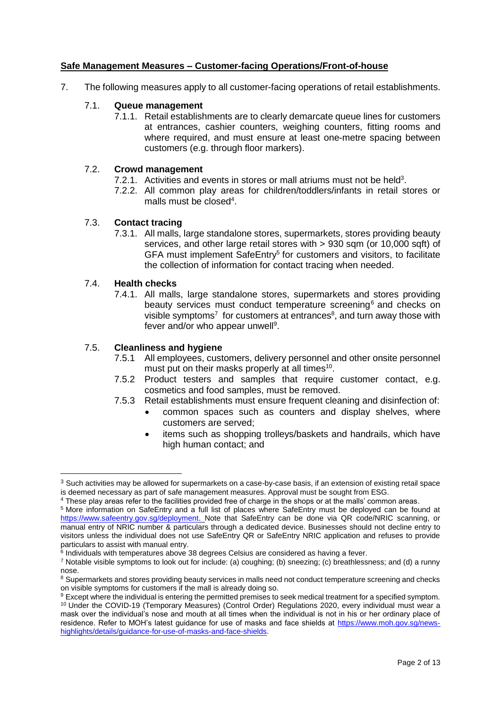#### **Safe Management Measures – Customer-facing Operations/Front-of-house**

7. The following measures apply to all customer-facing operations of retail establishments.

#### 7.1. **Queue management**

7.1.1. Retail establishments are to clearly demarcate queue lines for customers at entrances, cashier counters, weighing counters, fitting rooms and where required, and must ensure at least one-metre spacing between customers (e.g. through floor markers).

#### 7.2. **Crowd management**

- 7.2.1. Activities and events in stores or mall atriums must not be held<sup>3</sup>.
- 7.2.2. All common play areas for children/toddlers/infants in retail stores or malls must be closed<sup>4</sup>.

#### 7.3. **Contact tracing**

7.3.1. All malls, large standalone stores, supermarkets, stores providing beauty services, and other large retail stores with > 930 sqm (or 10,000 sqft) of GFA must implement SafeEntry<sup>5</sup> for customers and visitors, to facilitate the collection of information for contact tracing when needed.

#### 7.4. **Health checks**

1

7.4.1. All malls, large standalone stores, supermarkets and stores providing beauty services must conduct temperature screening<sup>6</sup> and checks on visible symptoms<sup>7</sup> for customers at entrances<sup>8</sup>, and turn away those with fever and/or who appear unwell<sup>9</sup>.

# 7.5. **Cleanliness and hygiene**

- All employees, customers, delivery personnel and other onsite personnel must put on their masks properly at all times $10$ .
- 7.5.2 Product testers and samples that require customer contact, e.g. cosmetics and food samples, must be removed.
- 7.5.3 Retail establishments must ensure frequent cleaning and disinfection of:
	- common spaces such as counters and display shelves, where customers are served;
	- items such as shopping trolleys/baskets and handrails, which have high human contact; and

<sup>&</sup>lt;sup>3</sup> Such activities may be allowed for supermarkets on a case-by-case basis, if an extension of existing retail space is deemed necessary as part of safe management measures. Approval must be sought from ESG.

<sup>4</sup> These play areas refer to the facilities provided free of charge in the shops or at the malls' common areas.

<sup>5</sup> More information on SafeEntry and a full list of places where SafeEntry must be deployed can be found at [https://www.safeentry.gov.sg/deployment.](https://www.safeentry.gov.sg/deployment) Note that SafeEntry can be done via QR code/NRIC scanning, or manual entry of NRIC number & particulars through a dedicated device. Businesses should not decline entry to visitors unless the individual does not use SafeEntry QR or SafeEntry NRIC application and refuses to provide particulars to assist with manual entry.

<sup>&</sup>lt;sup>6</sup> Individuals with temperatures above 38 degrees Celsius are considered as having a fever.

<sup>7</sup> Notable visible symptoms to look out for include: (a) coughing; (b) sneezing; (c) breathlessness; and (d) a runny nose.

<sup>&</sup>lt;sup>8</sup> Supermarkets and stores providing beauty services in malls need not conduct temperature screening and checks on visible symptoms for customers if the mall is already doing so.

<sup>9</sup> Except where the individual is entering the permitted premises to seek medical treatment for a specified symptom. <sup>10</sup> Under the COVID-19 (Temporary Measures) (Control Order) Regulations 2020, every individual must wear a mask over the individual's nose and mouth at all times when the individual is not in his or her ordinary place of residence. Refer to MOH's latest guidance for use of masks and face shields at [https://www.moh.gov.sg/news](https://www.moh.gov.sg/news-highlights/details/guidance-for-use-of-masks-and-face-shields)[highlights/details/guidance-for-use-of-masks-and-face-shields.](https://www.moh.gov.sg/news-highlights/details/guidance-for-use-of-masks-and-face-shields)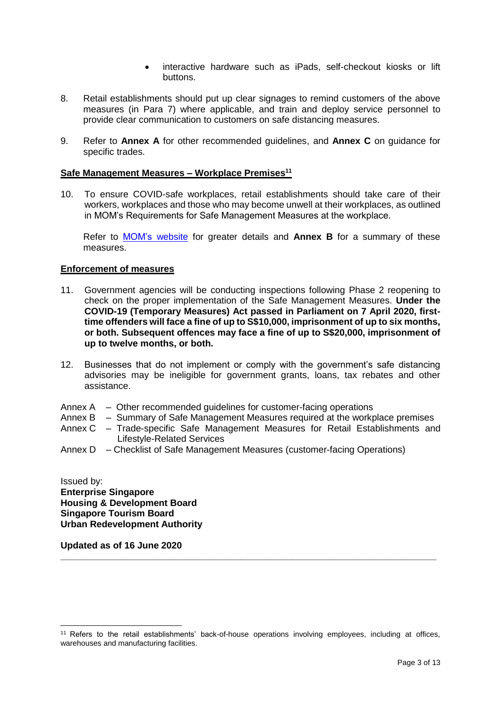- interactive hardware such as iPads, self-checkout kiosks or lift buttons.
- 8. Retail establishments should put up clear signages to remind customers of the above measures (in Para 7) where applicable, and train and deploy service personnel to provide clear communication to customers on safe distancing measures.
- 9. Refer to **Annex A** for other recommended guidelines, and **Annex C** on guidance for specific trades.

#### **Safe Management Measures – Workplace Premises<sup>11</sup>**

10. To ensure COVID-safe workplaces, retail establishments should take care of their workers, workplaces and those who may become unwell at their workplaces, as outlined in MOM's Requirements for Safe Management Measures at the workplace.

Refer to [MOM's website](https://www.mom.gov.sg/covid-19/requirements-for-safe-management-measures) for greater details and **Annex B** for a summary of these measures.

#### **Enforcement of measures**

- 11. Government agencies will be conducting inspections following Phase 2 reopening to check on the proper implementation of the Safe Management Measures. **Under the COVID-19 (Temporary Measures) Act passed in Parliament on 7 April 2020, firsttime offenders will face a fine of up to S\$10,000, imprisonment of up to six months, or both. Subsequent offences may face a fine of up to S\$20,000, imprisonment of up to twelve months, or both.**
- 12. Businesses that do not implement or comply with the government's safe distancing advisories may be ineligible for government grants, loans, tax rebates and other assistance.
- Annex A Other recommended guidelines for customer-facing operations
- Annex B Summary of Safe Management Measures required at the workplace premises
- Annex C Trade-specific Safe Management Measures for Retail Establishments and Lifestyle-Related Services
- Annex D Checklist of Safe Management Measures (customer-facing Operations)

Issued by: **Enterprise Singapore Housing & Development Board Singapore Tourism Board Urban Redevelopment Authority**

**Updated as of 16 June 2020**

<u>.</u>

**\_\_\_\_\_\_\_\_\_\_\_\_\_\_\_\_\_\_\_\_\_\_\_\_\_\_\_\_\_\_\_\_\_\_\_\_\_\_\_\_\_\_\_\_\_\_\_\_\_\_\_\_\_\_\_\_\_\_\_\_\_\_\_\_\_\_\_\_\_\_\_\_\_**

<sup>11</sup> Refers to the retail establishments' back-of-house operations involving employees, including at offices, warehouses and manufacturing facilities.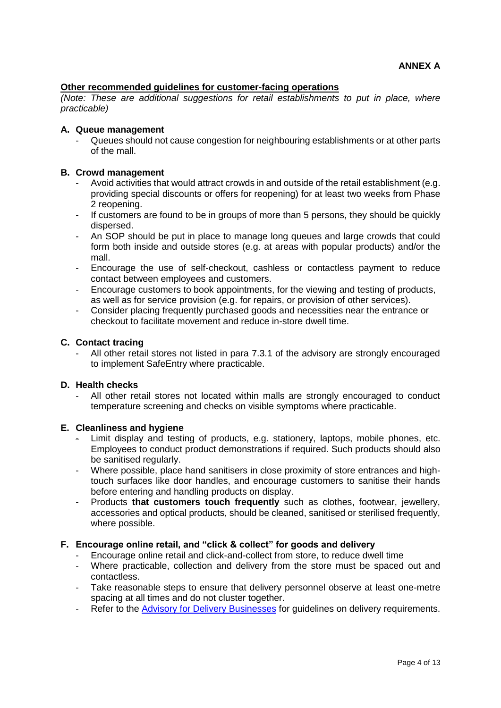#### **Other recommended guidelines for customer-facing operations**

*(Note: These are additional suggestions for retail establishments to put in place, where practicable)*

#### **A. Queue management**

Queues should not cause congestion for neighbouring establishments or at other parts of the mall.

#### **B. Crowd management**

- Avoid activities that would attract crowds in and outside of the retail establishment (e.g. providing special discounts or offers for reopening) for at least two weeks from Phase 2 reopening.
- If customers are found to be in groups of more than 5 persons, they should be quickly dispersed.
- An SOP should be put in place to manage long queues and large crowds that could form both inside and outside stores (e.g. at areas with popular products) and/or the mall.
- Encourage the use of self-checkout, cashless or contactless payment to reduce contact between employees and customers.
- Encourage customers to book appointments, for the viewing and testing of products, as well as for service provision (e.g. for repairs, or provision of other services).
- Consider placing frequently purchased goods and necessities near the entrance or checkout to facilitate movement and reduce in-store dwell time.

#### **C. Contact tracing**

All other retail stores not listed in para 7.3.1 of the advisory are strongly encouraged to implement SafeEntry where practicable.

#### **D. Health checks**

- All other retail stores not located within malls are strongly encouraged to conduct temperature screening and checks on visible symptoms where practicable.

#### **E. Cleanliness and hygiene**

- Limit display and testing of products, e.g. stationery, laptops, mobile phones, etc. Employees to conduct product demonstrations if required. Such products should also be sanitised regularly.
- Where possible, place hand sanitisers in close proximity of store entrances and hightouch surfaces like door handles, and encourage customers to sanitise their hands before entering and handling products on display.
- Products **that customers touch frequently** such as clothes, footwear, jewellery, accessories and optical products, should be cleaned, sanitised or sterilised frequently, where possible.

#### **F. Encourage online retail, and "click & collect" for goods and delivery**

- Encourage online retail and click-and-collect from store, to reduce dwell time
- Where practicable, collection and delivery from the store must be spaced out and contactless.
- Take reasonable steps to ensure that delivery personnel observe at least one-metre spacing at all times and do not cluster together.
- Refer to the [Advisory for Delivery Businesses](https://www.enterprisesg.gov.sg/covid-19/safe-distance#FBORD) for quidelines on delivery requirements.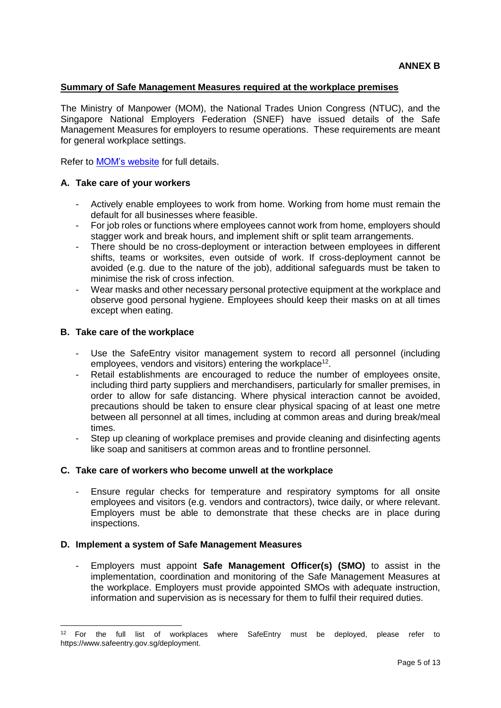#### **Summary of Safe Management Measures required at the workplace premises**

The Ministry of Manpower (MOM), the National Trades Union Congress (NTUC), and the Singapore National Employers Federation (SNEF) have issued details of the Safe Management Measures for employers to resume operations. These requirements are meant for general workplace settings.

Refer to [MOM's website](https://www.mom.gov.sg/covid-19/requirements-for-safe-management-measures) for full details.

#### **A. Take care of your workers**

- Actively enable employees to work from home. Working from home must remain the default for all businesses where feasible.
- For job roles or functions where employees cannot work from home, employers should stagger work and break hours, and implement shift or split team arrangements.
- There should be no cross-deployment or interaction between employees in different shifts, teams or worksites, even outside of work. If cross-deployment cannot be avoided (e.g. due to the nature of the job), additional safeguards must be taken to minimise the risk of cross infection.
- Wear masks and other necessary personal protective equipment at the workplace and observe good personal hygiene. Employees should keep their masks on at all times except when eating.

#### **B. Take care of the workplace**

<u>.</u>

- Use the SafeEntry visitor management system to record all personnel (including employees, vendors and visitors) entering the workplace<sup>12</sup>.
- Retail establishments are encouraged to reduce the number of employees onsite, including third party suppliers and merchandisers, particularly for smaller premises, in order to allow for safe distancing. Where physical interaction cannot be avoided, precautions should be taken to ensure clear physical spacing of at least one metre between all personnel at all times, including at common areas and during break/meal times.
- Step up cleaning of workplace premises and provide cleaning and disinfecting agents like soap and sanitisers at common areas and to frontline personnel.

## **C. Take care of workers who become unwell at the workplace**

Ensure regular checks for temperature and respiratory symptoms for all onsite employees and visitors (e.g. vendors and contractors), twice daily, or where relevant. Employers must be able to demonstrate that these checks are in place during inspections.

#### **D. Implement a system of Safe Management Measures**

- Employers must appoint **Safe Management Officer(s) (SMO)** to assist in the implementation, coordination and monitoring of the Safe Management Measures at the workplace. Employers must provide appointed SMOs with adequate instruction, information and supervision as is necessary for them to fulfil their required duties.

<sup>&</sup>lt;sup>12</sup> For the full list of workplaces where SafeEntry must be deployed, please refer to https://www.safeentry.gov.sg/deployment.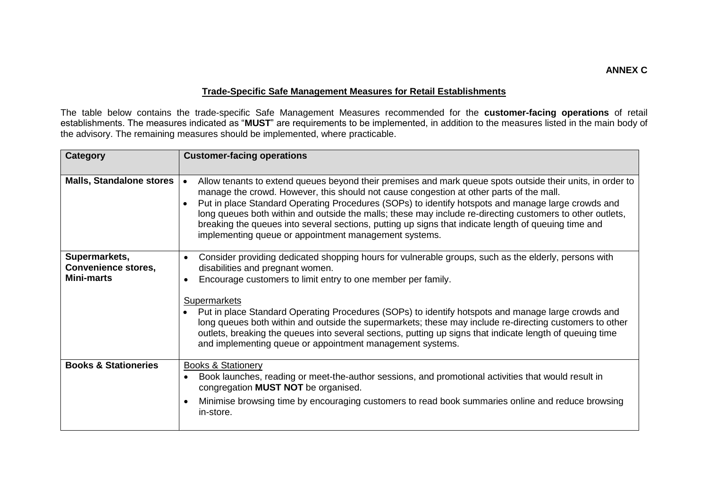## **Trade-Specific Safe Management Measures for Retail Establishments**

The table below contains the trade-specific Safe Management Measures recommended for the **customer-facing operations** of retail establishments. The measures indicated as "**MUST**" are requirements to be implemented, in addition to the measures listed in the main body of the advisory. The remaining measures should be implemented, where practicable.

| <b>Category</b>                                                  | <b>Customer-facing operations</b>                                                                                                                                                                                                                                                                                                                                                                                                                                                                                                                                                                                   |
|------------------------------------------------------------------|---------------------------------------------------------------------------------------------------------------------------------------------------------------------------------------------------------------------------------------------------------------------------------------------------------------------------------------------------------------------------------------------------------------------------------------------------------------------------------------------------------------------------------------------------------------------------------------------------------------------|
| <b>Malls, Standalone stores</b>                                  | Allow tenants to extend queues beyond their premises and mark queue spots outside their units, in order to<br>$\bullet$<br>manage the crowd. However, this should not cause congestion at other parts of the mall.<br>Put in place Standard Operating Procedures (SOPs) to identify hotspots and manage large crowds and<br>long queues both within and outside the malls; these may include re-directing customers to other outlets,<br>breaking the queues into several sections, putting up signs that indicate length of queuing time and<br>implementing queue or appointment management systems.              |
| Supermarkets,<br><b>Convenience stores,</b><br><b>Mini-marts</b> | Consider providing dedicated shopping hours for vulnerable groups, such as the elderly, persons with<br>disabilities and pregnant women.<br>Encourage customers to limit entry to one member per family.<br>Supermarkets<br>Put in place Standard Operating Procedures (SOPs) to identify hotspots and manage large crowds and<br>long queues both within and outside the supermarkets; these may include re-directing customers to other<br>outlets, breaking the queues into several sections, putting up signs that indicate length of queuing time<br>and implementing queue or appointment management systems. |
| <b>Books &amp; Stationeries</b>                                  | <b>Books &amp; Stationery</b><br>Book launches, reading or meet-the-author sessions, and promotional activities that would result in<br>congregation MUST NOT be organised.<br>Minimise browsing time by encouraging customers to read book summaries online and reduce browsing<br>in-store.                                                                                                                                                                                                                                                                                                                       |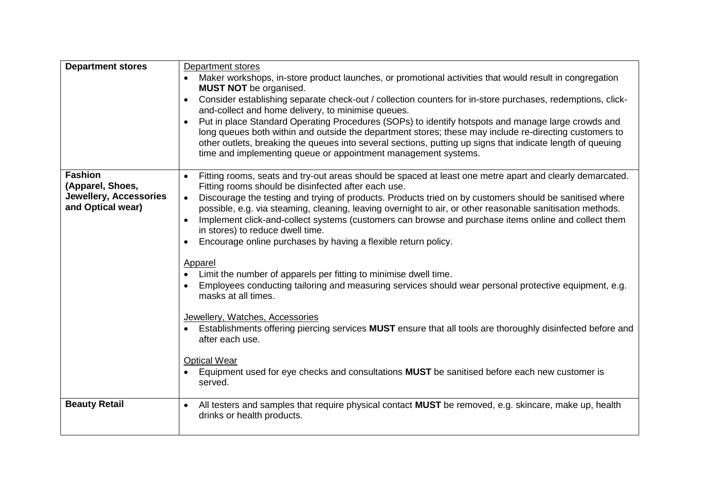| <b>Department stores</b>                           | Department stores                                                                                                                                                                                                                                                                                                                                                                                                                                |  |
|----------------------------------------------------|--------------------------------------------------------------------------------------------------------------------------------------------------------------------------------------------------------------------------------------------------------------------------------------------------------------------------------------------------------------------------------------------------------------------------------------------------|--|
|                                                    | Maker workshops, in-store product launches, or promotional activities that would result in congregation<br><b>MUST NOT</b> be organised.                                                                                                                                                                                                                                                                                                         |  |
|                                                    | Consider establishing separate check-out / collection counters for in-store purchases, redemptions, click-<br>$\bullet$<br>and-collect and home delivery, to minimise queues.                                                                                                                                                                                                                                                                    |  |
|                                                    | Put in place Standard Operating Procedures (SOPs) to identify hotspots and manage large crowds and<br>long queues both within and outside the department stores; these may include re-directing customers to<br>other outlets, breaking the queues into several sections, putting up signs that indicate length of queuing<br>time and implementing queue or appointment management systems.                                                     |  |
| <b>Fashion</b><br>(Apparel, Shoes,                 | Fitting rooms, seats and try-out areas should be spaced at least one metre apart and clearly demarcated.<br>Fitting rooms should be disinfected after each use.                                                                                                                                                                                                                                                                                  |  |
| <b>Jewellery, Accessories</b><br>and Optical wear) | Discourage the testing and trying of products. Products tried on by customers should be sanitised where<br>$\bullet$<br>possible, e.g. via steaming, cleaning, leaving overnight to air, or other reasonable sanitisation methods.<br>Implement click-and-collect systems (customers can browse and purchase items online and collect them<br>in stores) to reduce dwell time.<br>Encourage online purchases by having a flexible return policy. |  |
|                                                    | Apparel<br>Limit the number of apparels per fitting to minimise dwell time.<br>Employees conducting tailoring and measuring services should wear personal protective equipment, e.g.<br>masks at all times.                                                                                                                                                                                                                                      |  |
|                                                    | Jewellery, Watches, Accessories<br>Establishments offering piercing services MUST ensure that all tools are thoroughly disinfected before and<br>after each use.                                                                                                                                                                                                                                                                                 |  |
|                                                    | <b>Optical Wear</b><br>Equipment used for eye checks and consultations MUST be sanitised before each new customer is<br>served.                                                                                                                                                                                                                                                                                                                  |  |
| <b>Beauty Retail</b>                               | All testers and samples that require physical contact MUST be removed, e.g. skincare, make up, health<br>$\bullet$<br>drinks or health products.                                                                                                                                                                                                                                                                                                 |  |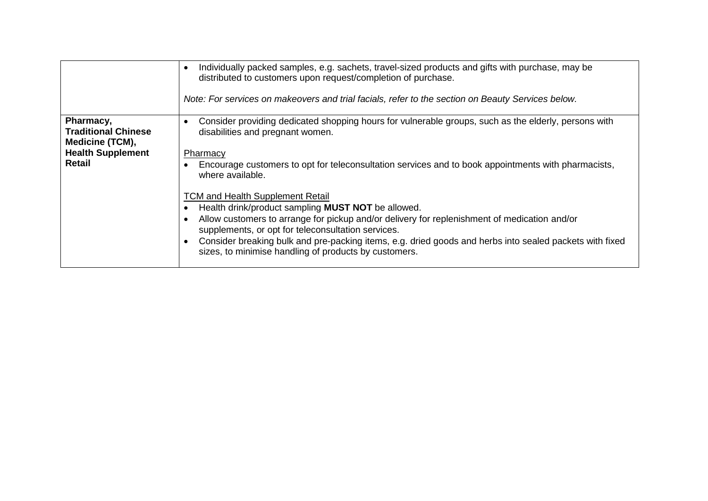|                                                                                                         | Individually packed samples, e.g. sachets, travel-sized products and gifts with purchase, may be<br>distributed to customers upon request/completion of purchase.<br>Note: For services on makeovers and trial facials, refer to the section on Beauty Services below.                                                                                                                                                                                                                                                                                                                                                                                                                                            |
|---------------------------------------------------------------------------------------------------------|-------------------------------------------------------------------------------------------------------------------------------------------------------------------------------------------------------------------------------------------------------------------------------------------------------------------------------------------------------------------------------------------------------------------------------------------------------------------------------------------------------------------------------------------------------------------------------------------------------------------------------------------------------------------------------------------------------------------|
| Pharmacy,<br><b>Traditional Chinese</b><br>Medicine (TCM),<br><b>Health Supplement</b><br><b>Retail</b> | Consider providing dedicated shopping hours for vulnerable groups, such as the elderly, persons with<br>disabilities and pregnant women.<br>Pharmacy<br>Encourage customers to opt for teleconsultation services and to book appointments with pharmacists,<br>where available.<br><b>TCM and Health Supplement Retail</b><br>Health drink/product sampling <b>MUST NOT</b> be allowed.<br>Allow customers to arrange for pickup and/or delivery for replenishment of medication and/or<br>supplements, or opt for teleconsultation services.<br>Consider breaking bulk and pre-packing items, e.g. dried goods and herbs into sealed packets with fixed<br>sizes, to minimise handling of products by customers. |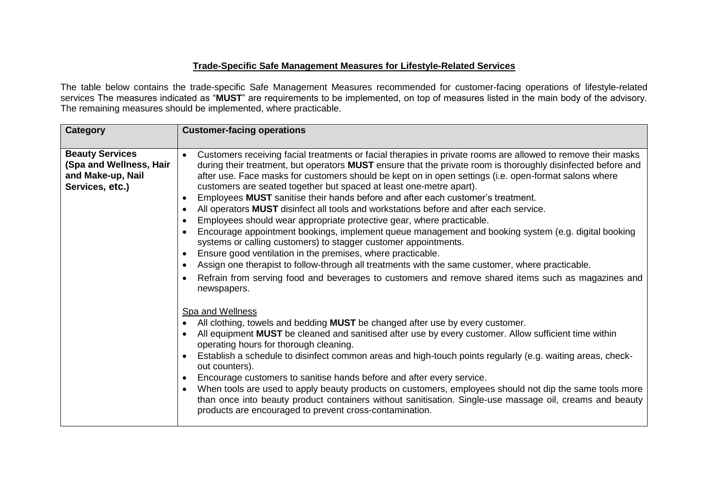## **Trade-Specific Safe Management Measures for Lifestyle-Related Services**

The table below contains the trade-specific Safe Management Measures recommended for customer-facing operations of lifestyle-related services The measures indicated as "**MUST**" are requirements to be implemented, on top of measures listed in the main body of the advisory. The remaining measures should be implemented, where practicable.

| <b>Beauty Services</b><br>$\bullet$                                                                                                                                                                                                                                                                                                                                                                                                                                                                                                                                                                                                                                                                                                                                                                                                                                                                                                                                                                                                                                                                                                                                                         | <b>Category</b>         | <b>Customer-facing operations</b>                                                                                                                                                                                                                                                                                                                                                                                                                                                                                                                                                                                                                                                                                                                                              |  |
|---------------------------------------------------------------------------------------------------------------------------------------------------------------------------------------------------------------------------------------------------------------------------------------------------------------------------------------------------------------------------------------------------------------------------------------------------------------------------------------------------------------------------------------------------------------------------------------------------------------------------------------------------------------------------------------------------------------------------------------------------------------------------------------------------------------------------------------------------------------------------------------------------------------------------------------------------------------------------------------------------------------------------------------------------------------------------------------------------------------------------------------------------------------------------------------------|-------------------------|--------------------------------------------------------------------------------------------------------------------------------------------------------------------------------------------------------------------------------------------------------------------------------------------------------------------------------------------------------------------------------------------------------------------------------------------------------------------------------------------------------------------------------------------------------------------------------------------------------------------------------------------------------------------------------------------------------------------------------------------------------------------------------|--|
| and Make-up, Nail<br>after use. Face masks for customers should be kept on in open settings (i.e. open-format salons where<br>Services, etc.)<br>customers are seated together but spaced at least one-metre apart).<br>Employees MUST sanitise their hands before and after each customer's treatment.<br>All operators MUST disinfect all tools and workstations before and after each service.<br>Employees should wear appropriate protective gear, where practicable.<br>systems or calling customers) to stagger customer appointments.<br>Ensure good ventilation in the premises, where practicable.<br>Assign one therapist to follow-through all treatments with the same customer, where practicable.<br>$\bullet$<br>newspapers.<br>Spa and Wellness<br>All clothing, towels and bedding <b>MUST</b> be changed after use by every customer.<br>All equipment MUST be cleaned and sanitised after use by every customer. Allow sufficient time within<br>operating hours for thorough cleaning.<br>out counters).<br>Encourage customers to sanitise hands before and after every service.<br>$\bullet$<br>$\bullet$<br>products are encouraged to prevent cross-contamination. | (Spa and Wellness, Hair | Customers receiving facial treatments or facial therapies in private rooms are allowed to remove their masks<br>during their treatment, but operators MUST ensure that the private room is thoroughly disinfected before and<br>Encourage appointment bookings, implement queue management and booking system (e.g. digital booking<br>Refrain from serving food and beverages to customers and remove shared items such as magazines and<br>Establish a schedule to disinfect common areas and high-touch points regularly (e.g. waiting areas, check-<br>When tools are used to apply beauty products on customers, employees should not dip the same tools more<br>than once into beauty product containers without sanitisation. Single-use massage oil, creams and beauty |  |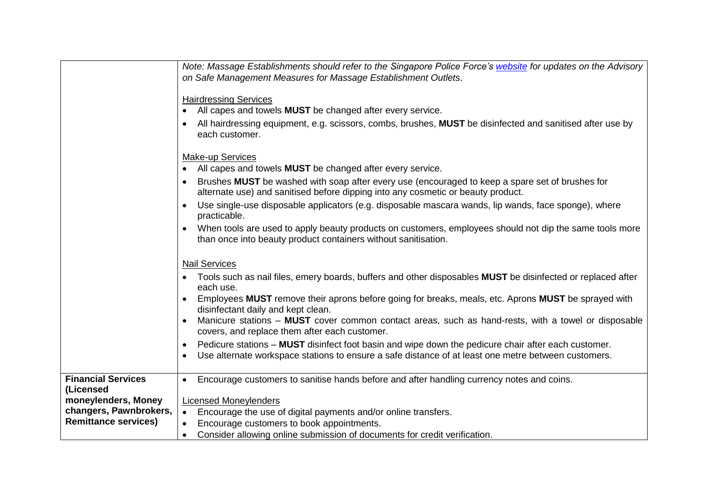|                                                                                                                        | Note: Massage Establishments should refer to the Singapore Police Force's website for updates on the Advisory<br>on Safe Management Measures for Massage Establishment Outlets.<br><b>Hairdressing Services</b><br>All capes and towels <b>MUST</b> be changed after every service.<br>$\bullet$<br>All hairdressing equipment, e.g. scissors, combs, brushes, MUST be disinfected and sanitised after use by<br>each customer.                                                                                                                                                                                                                                                                                         |
|------------------------------------------------------------------------------------------------------------------------|-------------------------------------------------------------------------------------------------------------------------------------------------------------------------------------------------------------------------------------------------------------------------------------------------------------------------------------------------------------------------------------------------------------------------------------------------------------------------------------------------------------------------------------------------------------------------------------------------------------------------------------------------------------------------------------------------------------------------|
|                                                                                                                        | Make-up Services<br>All capes and towels <b>MUST</b> be changed after every service.<br>$\bullet$<br>Brushes MUST be washed with soap after every use (encouraged to keep a spare set of brushes for<br>$\bullet$<br>alternate use) and sanitised before dipping into any cosmetic or beauty product.<br>Use single-use disposable applicators (e.g. disposable mascara wands, lip wands, face sponge), where<br>$\bullet$<br>practicable.<br>When tools are used to apply beauty products on customers, employees should not dip the same tools more<br>$\bullet$<br>than once into beauty product containers without sanitisation.                                                                                    |
|                                                                                                                        | <b>Nail Services</b><br>Tools such as nail files, emery boards, buffers and other disposables MUST be disinfected or replaced after<br>each use.<br>Employees MUST remove their aprons before going for breaks, meals, etc. Aprons MUST be sprayed with<br>$\bullet$<br>disinfectant daily and kept clean.<br>Manicure stations – MUST cover common contact areas, such as hand-rests, with a towel or disposable<br>$\bullet$<br>covers, and replace them after each customer.<br>Pedicure stations – MUST disinfect foot basin and wipe down the pedicure chair after each customer.<br>$\bullet$<br>Use alternate workspace stations to ensure a safe distance of at least one metre between customers.<br>$\bullet$ |
| <b>Financial Services</b><br>(Licensed<br>moneylenders, Money<br>changers, Pawnbrokers,<br><b>Remittance services)</b> | Encourage customers to sanitise hands before and after handling currency notes and coins.<br>$\bullet$<br><b>Licensed Moneylenders</b><br>Encourage the use of digital payments and/or online transfers.<br>$\bullet$<br>Encourage customers to book appointments.<br>Consider allowing online submission of documents for credit verification.<br>$\bullet$                                                                                                                                                                                                                                                                                                                                                            |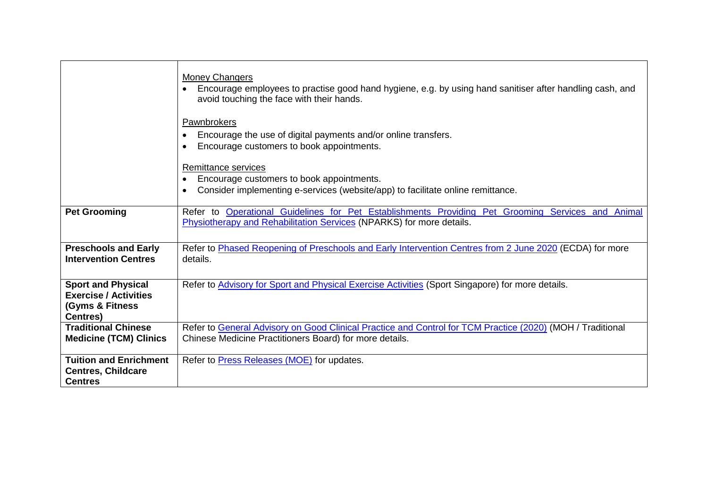|                                                                                                            | <b>Money Changers</b><br>Encourage employees to practise good hand hygiene, e.g. by using hand sanitiser after handling cash, and<br>$\bullet$<br>avoid touching the face with their hands. |
|------------------------------------------------------------------------------------------------------------|---------------------------------------------------------------------------------------------------------------------------------------------------------------------------------------------|
|                                                                                                            | Pawnbrokers<br>Encourage the use of digital payments and/or online transfers.<br>Encourage customers to book appointments.                                                                  |
|                                                                                                            | Remittance services                                                                                                                                                                         |
|                                                                                                            | Encourage customers to book appointments.                                                                                                                                                   |
|                                                                                                            | Consider implementing e-services (website/app) to facilitate online remittance.                                                                                                             |
| <b>Pet Grooming</b>                                                                                        | Refer to Operational Guidelines for Pet Establishments Providing Pet Grooming Services and Animal<br>Physiotherapy and Rehabilitation Services (NPARKS) for more details.                   |
| <b>Preschools and Early</b><br><b>Intervention Centres</b>                                                 | Refer to Phased Reopening of Preschools and Early Intervention Centres from 2 June 2020 (ECDA) for more<br>details.                                                                         |
| <b>Sport and Physical</b><br><b>Exercise / Activities</b><br><b>(Gyms &amp; Fitness</b><br><b>Centres)</b> | Refer to Advisory for Sport and Physical Exercise Activities (Sport Singapore) for more details.                                                                                            |
| <b>Traditional Chinese</b>                                                                                 | Refer to General Advisory on Good Clinical Practice and Control for TCM Practice (2020) (MOH / Traditional                                                                                  |
| <b>Medicine (TCM) Clinics</b>                                                                              | Chinese Medicine Practitioners Board) for more details.                                                                                                                                     |
| <b>Tuition and Enrichment</b>                                                                              | Refer to <b>Press Releases</b> (MOE) for updates.                                                                                                                                           |
| <b>Centres, Childcare</b><br><b>Centres</b>                                                                |                                                                                                                                                                                             |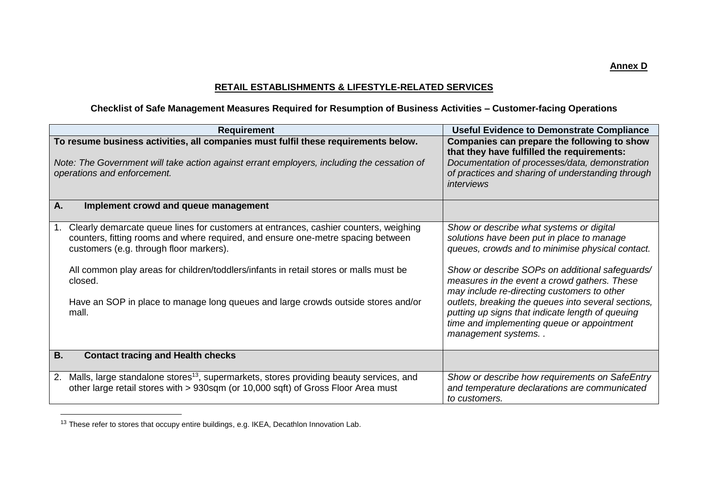**Annex D**

## **RETAIL ESTABLISHMENTS & LIFESTYLE-RELATED SERVICES**

## **Checklist of Safe Management Measures Required for Resumption of Business Activities – Customer-facing Operations**

| <b>Requirement</b>                                                                                                                                                                                                                                                                                                                                                                                                          | <b>Useful Evidence to Demonstrate Compliance</b>                                                                                                                                                                                                                                                                                                                                                                                                                            |
|-----------------------------------------------------------------------------------------------------------------------------------------------------------------------------------------------------------------------------------------------------------------------------------------------------------------------------------------------------------------------------------------------------------------------------|-----------------------------------------------------------------------------------------------------------------------------------------------------------------------------------------------------------------------------------------------------------------------------------------------------------------------------------------------------------------------------------------------------------------------------------------------------------------------------|
| To resume business activities, all companies must fulfil these requirements below.<br>Note: The Government will take action against errant employers, including the cessation of<br>operations and enforcement.                                                                                                                                                                                                             | Companies can prepare the following to show<br>that they have fulfilled the requirements:<br>Documentation of processes/data, demonstration<br>of practices and sharing of understanding through<br><i>interviews</i>                                                                                                                                                                                                                                                       |
| Implement crowd and queue management<br>A.                                                                                                                                                                                                                                                                                                                                                                                  |                                                                                                                                                                                                                                                                                                                                                                                                                                                                             |
| Clearly demarcate queue lines for customers at entrances, cashier counters, weighing<br>1.<br>counters, fitting rooms and where required, and ensure one-metre spacing between<br>customers (e.g. through floor markers).<br>All common play areas for children/toddlers/infants in retail stores or malls must be<br>closed.<br>Have an SOP in place to manage long queues and large crowds outside stores and/or<br>mall. | Show or describe what systems or digital<br>solutions have been put in place to manage<br>queues, crowds and to minimise physical contact.<br>Show or describe SOPs on additional safeguards/<br>measures in the event a crowd gathers. These<br>may include re-directing customers to other<br>outlets, breaking the queues into several sections,<br>putting up signs that indicate length of queuing<br>time and implementing queue or appointment<br>management systems |
| <b>Contact tracing and Health checks</b><br>В.                                                                                                                                                                                                                                                                                                                                                                              |                                                                                                                                                                                                                                                                                                                                                                                                                                                                             |
| Malls, large standalone stores <sup>13</sup> , supermarkets, stores providing beauty services, and<br>2.<br>other large retail stores with > 930sqm (or 10,000 sqft) of Gross Floor Area must                                                                                                                                                                                                                               | Show or describe how requirements on SafeEntry<br>and temperature declarations are communicated<br>to customers.                                                                                                                                                                                                                                                                                                                                                            |

<sup>&</sup>lt;sup>13</sup> These refer to stores that occupy entire buildings, e.g. IKEA, Decathlon Innovation Lab.

 $\overline{a}$